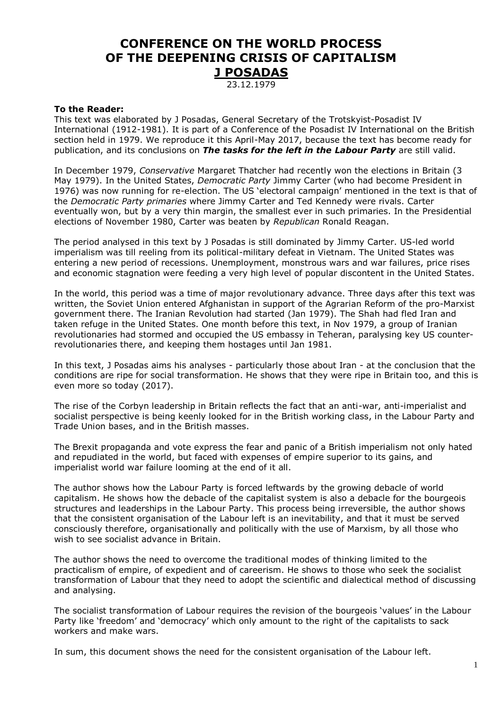# **CONFERENCE ON THE WORLD PROCESS OF THE DEEPENING CRISIS OF CAPITALISM J POSADAS**

23.12.1979

#### **To the Reader:**

This text was elaborated by J Posadas, General Secretary of the Trotskyist-Posadist IV International (1912-1981). It is part of a Conference of the Posadist IV International on the British section held in 1979. We reproduce it this April-May 2017, because the text has become ready for publication, and its conclusions on *The tasks for the left in the Labour Party* are still valid.

In December 1979, *Conservative* Margaret Thatcher had recently won the elections in Britain (3 May 1979). In the United States, *Democratic Party* Jimmy Carter (who had become President in 1976) was now running for re-election. The US 'electoral campaign' mentioned in the text is that of the *Democratic Party primaries* where Jimmy Carter and Ted Kennedy were rivals. Carter eventually won, but by a very thin margin, the smallest ever in such primaries. In the Presidential elections of November 1980, Carter was beaten by *Republican* Ronald Reagan.

The period analysed in this text by J Posadas is still dominated by Jimmy Carter. US-led world imperialism was till reeling from its political-military defeat in Vietnam. The United States was entering a new period of recessions. Unemployment, monstrous wars and war failures, price rises and economic stagnation were feeding a very high level of popular discontent in the United States.

In the world, this period was a time of major revolutionary advance. Three days after this text was written, the Soviet Union entered Afghanistan in support of the Agrarian Reform of the pro-Marxist government there. The Iranian Revolution had started (Jan 1979). The Shah had fled Iran and taken refuge in the United States. One month before this text, in Nov 1979, a group of Iranian revolutionaries had stormed and occupied the US embassy in Teheran, paralysing key US counterrevolutionaries there, and keeping them hostages until Jan 1981.

In this text, J Posadas aims his analyses - particularly those about Iran - at the conclusion that the conditions are ripe for social transformation. He shows that they were ripe in Britain too, and this is even more so today (2017).

The rise of the Corbyn leadership in Britain reflects the fact that an anti-war, anti-imperialist and socialist perspective is being keenly looked for in the British working class, in the Labour Party and Trade Union bases, and in the British masses.

The Brexit propaganda and vote express the fear and panic of a British imperialism not only hated and repudiated in the world, but faced with expenses of empire superior to its gains, and imperialist world war failure looming at the end of it all.

The author shows how the Labour Party is forced leftwards by the growing debacle of world capitalism. He shows how the debacle of the capitalist system is also a debacle for the bourgeois structures and leaderships in the Labour Party. This process being irreversible, the author shows that the consistent organisation of the Labour left is an inevitability, and that it must be served consciously therefore, organisationally and politically with the use of Marxism, by all those who wish to see socialist advance in Britain.

The author shows the need to overcome the traditional modes of thinking limited to the practicalism of empire, of expedient and of careerism. He shows to those who seek the socialist transformation of Labour that they need to adopt the scientific and dialectical method of discussing and analysing.

The socialist transformation of Labour requires the revision of the bourgeois 'values' in the Labour Party like 'freedom' and 'democracy' which only amount to the right of the capitalists to sack workers and make wars.

In sum, this document shows the need for the consistent organisation of the Labour left.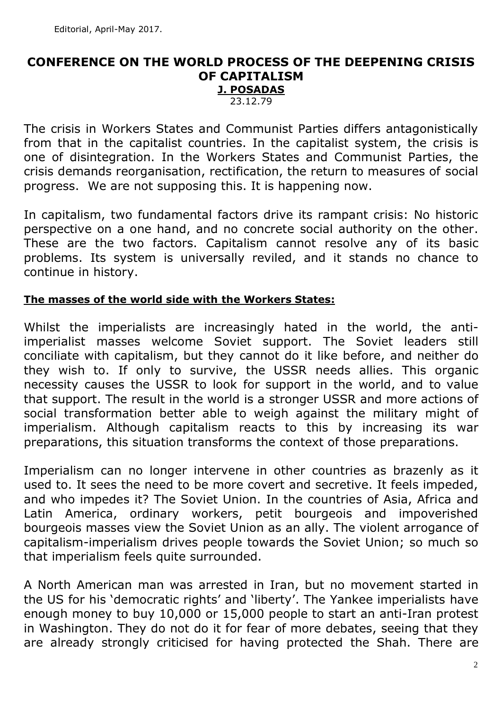# **CONFERENCE ON THE WORLD PROCESS OF THE DEEPENING CRISIS OF CAPITALISM J. POSADAS**

23.12.79

The crisis in Workers States and Communist Parties differs antagonistically from that in the capitalist countries. In the capitalist system, the crisis is one of disintegration. In the Workers States and Communist Parties, the crisis demands reorganisation, rectification, the return to measures of social progress. We are not supposing this. It is happening now.

In capitalism, two fundamental factors drive its rampant crisis: No historic perspective on a one hand, and no concrete social authority on the other. These are the two factors. Capitalism cannot resolve any of its basic problems. Its system is universally reviled, and it stands no chance to continue in history.

#### **The masses of the world side with the Workers States:**

Whilst the imperialists are increasingly hated in the world, the antiimperialist masses welcome Soviet support. The Soviet leaders still conciliate with capitalism, but they cannot do it like before, and neither do they wish to. If only to survive, the USSR needs allies. This organic necessity causes the USSR to look for support in the world, and to value that support. The result in the world is a stronger USSR and more actions of social transformation better able to weigh against the military might of imperialism. Although capitalism reacts to this by increasing its war preparations, this situation transforms the context of those preparations.

Imperialism can no longer intervene in other countries as brazenly as it used to. It sees the need to be more covert and secretive. It feels impeded, and who impedes it? The Soviet Union. In the countries of Asia, Africa and Latin America, ordinary workers, petit bourgeois and impoverished bourgeois masses view the Soviet Union as an ally. The violent arrogance of capitalism-imperialism drives people towards the Soviet Union; so much so that imperialism feels quite surrounded.

A North American man was arrested in Iran, but no movement started in the US for his 'democratic rights' and 'liberty'. The Yankee imperialists have enough money to buy 10,000 or 15,000 people to start an anti-Iran protest in Washington. They do not do it for fear of more debates, seeing that they are already strongly criticised for having protected the Shah. There are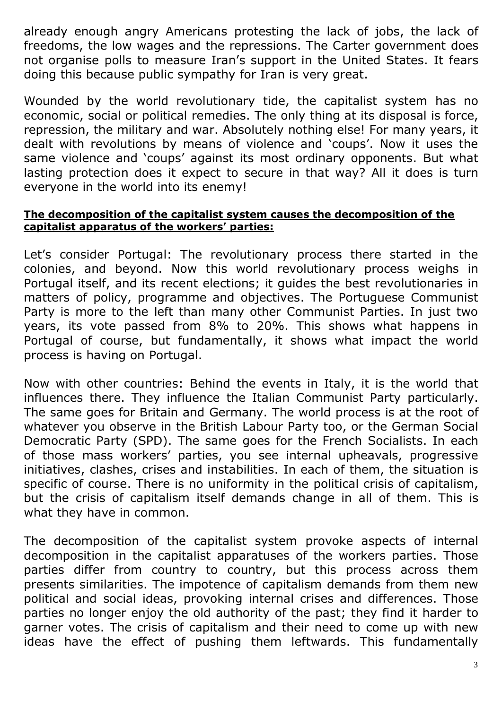already enough angry Americans protesting the lack of jobs, the lack of freedoms, the low wages and the repressions. The Carter government does not organise polls to measure Iran's support in the United States. It fears doing this because public sympathy for Iran is very great.

Wounded by the world revolutionary tide, the capitalist system has no economic, social or political remedies. The only thing at its disposal is force, repression, the military and war. Absolutely nothing else! For many years, it dealt with revolutions by means of violence and 'coups'. Now it uses the same violence and 'coups' against its most ordinary opponents. But what lasting protection does it expect to secure in that way? All it does is turn everyone in the world into its enemy!

#### **The decomposition of the capitalist system causes the decomposition of the capitalist apparatus of the workers' parties:**

Let's consider Portugal: The revolutionary process there started in the colonies, and beyond. Now this world revolutionary process weighs in Portugal itself, and its recent elections; it guides the best revolutionaries in matters of policy, programme and objectives. The Portuguese Communist Party is more to the left than many other Communist Parties. In just two years, its vote passed from 8% to 20%. This shows what happens in Portugal of course, but fundamentally, it shows what impact the world process is having on Portugal.

Now with other countries: Behind the events in Italy, it is the world that influences there. They influence the Italian Communist Party particularly. The same goes for Britain and Germany. The world process is at the root of whatever you observe in the British Labour Party too, or the German Social Democratic Party (SPD). The same goes for the French Socialists. In each of those mass workers' parties, you see internal upheavals, progressive initiatives, clashes, crises and instabilities. In each of them, the situation is specific of course. There is no uniformity in the political crisis of capitalism, but the crisis of capitalism itself demands change in all of them. This is what they have in common.

The decomposition of the capitalist system provoke aspects of internal decomposition in the capitalist apparatuses of the workers parties. Those parties differ from country to country, but this process across them presents similarities. The impotence of capitalism demands from them new political and social ideas, provoking internal crises and differences. Those parties no longer enjoy the old authority of the past; they find it harder to garner votes. The crisis of capitalism and their need to come up with new ideas have the effect of pushing them leftwards. This fundamentally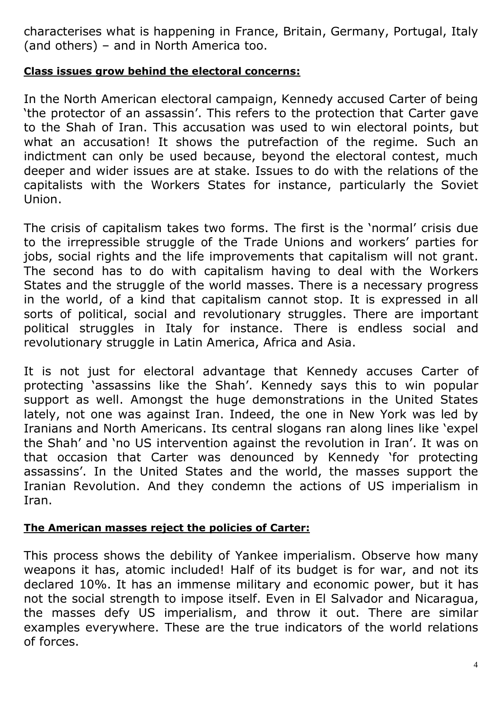characterises what is happening in France, Britain, Germany, Portugal, Italy (and others) – and in North America too.

## **Class issues grow behind the electoral concerns:**

In the North American electoral campaign, Kennedy accused Carter of being 'the protector of an assassin'. This refers to the protection that Carter gave to the Shah of Iran. This accusation was used to win electoral points, but what an accusation! It shows the putrefaction of the regime. Such an indictment can only be used because, beyond the electoral contest, much deeper and wider issues are at stake. Issues to do with the relations of the capitalists with the Workers States for instance, particularly the Soviet Union.

The crisis of capitalism takes two forms. The first is the 'normal' crisis due to the irrepressible struggle of the Trade Unions and workers' parties for jobs, social rights and the life improvements that capitalism will not grant. The second has to do with capitalism having to deal with the Workers States and the struggle of the world masses. There is a necessary progress in the world, of a kind that capitalism cannot stop. It is expressed in all sorts of political, social and revolutionary struggles. There are important political struggles in Italy for instance. There is endless social and revolutionary struggle in Latin America, Africa and Asia.

It is not just for electoral advantage that Kennedy accuses Carter of protecting 'assassins like the Shah'. Kennedy says this to win popular support as well. Amongst the huge demonstrations in the United States lately, not one was against Iran. Indeed, the one in New York was led by Iranians and North Americans. Its central slogans ran along lines like 'expel the Shah' and 'no US intervention against the revolution in Iran'. It was on that occasion that Carter was denounced by Kennedy 'for protecting assassins'. In the United States and the world, the masses support the Iranian Revolution. And they condemn the actions of US imperialism in Iran.

# **The American masses reject the policies of Carter:**

This process shows the debility of Yankee imperialism. Observe how many weapons it has, atomic included! Half of its budget is for war, and not its declared 10%. It has an immense military and economic power, but it has not the social strength to impose itself. Even in El Salvador and Nicaragua, the masses defy US imperialism, and throw it out. There are similar examples everywhere. These are the true indicators of the world relations of forces.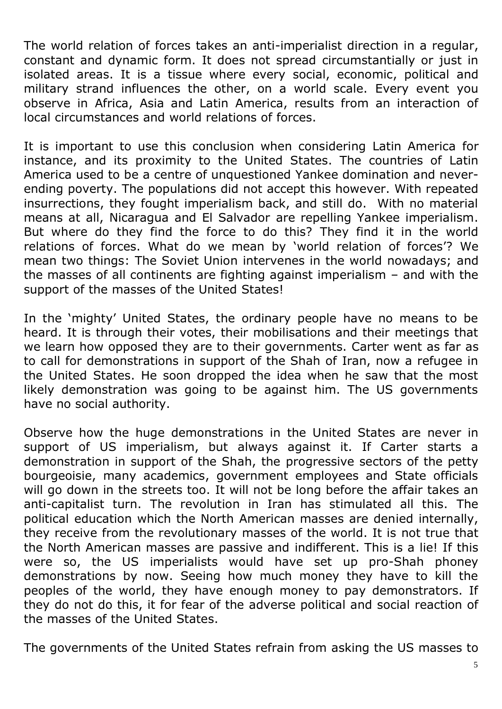The world relation of forces takes an anti-imperialist direction in a regular, constant and dynamic form. It does not spread circumstantially or just in isolated areas. It is a tissue where every social, economic, political and military strand influences the other, on a world scale. Every event you observe in Africa, Asia and Latin America, results from an interaction of local circumstances and world relations of forces.

It is important to use this conclusion when considering Latin America for instance, and its proximity to the United States. The countries of Latin America used to be a centre of unquestioned Yankee domination and neverending poverty. The populations did not accept this however. With repeated insurrections, they fought imperialism back, and still do. With no material means at all, Nicaragua and El Salvador are repelling Yankee imperialism. But where do they find the force to do this? They find it in the world relations of forces. What do we mean by 'world relation of forces'? We mean two things: The Soviet Union intervenes in the world nowadays; and the masses of all continents are fighting against imperialism  $-$  and with the support of the masses of the United States!

In the 'mighty' United States, the ordinary people have no means to be heard. It is through their votes, their mobilisations and their meetings that we learn how opposed they are to their governments. Carter went as far as to call for demonstrations in support of the Shah of Iran, now a refugee in the United States. He soon dropped the idea when he saw that the most likely demonstration was going to be against him. The US governments have no social authority.

Observe how the huge demonstrations in the United States are never in support of US imperialism, but always against it. If Carter starts a demonstration in support of the Shah, the progressive sectors of the petty bourgeoisie, many academics, government employees and State officials will go down in the streets too. It will not be long before the affair takes an anti-capitalist turn. The revolution in Iran has stimulated all this. The political education which the North American masses are denied internally, they receive from the revolutionary masses of the world. It is not true that the North American masses are passive and indifferent. This is a lie! If this were so, the US imperialists would have set up pro-Shah phoney demonstrations by now. Seeing how much money they have to kill the peoples of the world, they have enough money to pay demonstrators. If they do not do this, it for fear of the adverse political and social reaction of the masses of the United States.

The governments of the United States refrain from asking the US masses to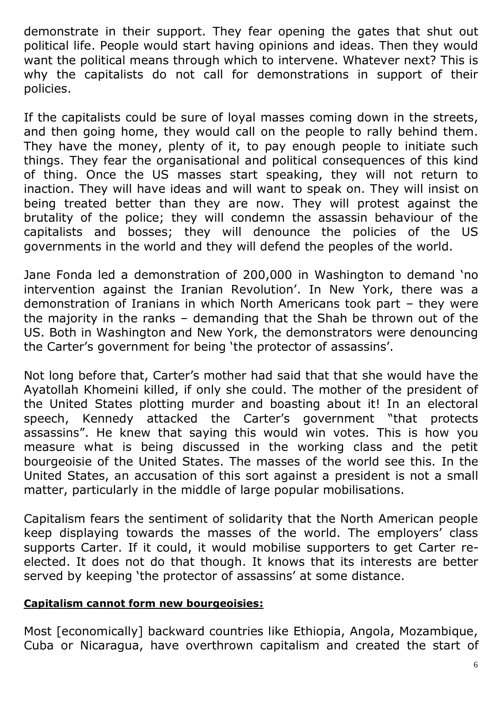demonstrate in their support. They fear opening the gates that shut out political life. People would start having opinions and ideas. Then they would want the political means through which to intervene. Whatever next? This is why the capitalists do not call for demonstrations in support of their policies.

If the capitalists could be sure of loyal masses coming down in the streets, and then going home, they would call on the people to rally behind them. They have the money, plenty of it, to pay enough people to initiate such things. They fear the organisational and political consequences of this kind of thing. Once the US masses start speaking, they will not return to inaction. They will have ideas and will want to speak on. They will insist on being treated better than they are now. They will protest against the brutality of the police; they will condemn the assassin behaviour of the capitalists and bosses; they will denounce the policies of the US governments in the world and they will defend the peoples of the world.

Jane Fonda led a demonstration of 200,000 in Washington to demand 'no intervention against the Iranian Revolution'. In New York, there was a demonstration of Iranians in which North Americans took part – they were the majority in the ranks – demanding that the Shah be thrown out of the US. Both in Washington and New York, the demonstrators were denouncing the Carter's government for being 'the protector of assassins'.

Not long before that, Carter's mother had said that that she would have the Ayatollah Khomeini killed, if only she could. The mother of the president of the United States plotting murder and boasting about it! In an electoral speech, Kennedy attacked the Carter's government "that protects assassins". He knew that saying this would win votes. This is how you measure what is being discussed in the working class and the petit bourgeoisie of the United States. The masses of the world see this. In the United States, an accusation of this sort against a president is not a small matter, particularly in the middle of large popular mobilisations.

Capitalism fears the sentiment of solidarity that the North American people keep displaying towards the masses of the world. The employers' class supports Carter. If it could, it would mobilise supporters to get Carter reelected. It does not do that though. It knows that its interests are better served by keeping 'the protector of assassins' at some distance.

# **Capitalism cannot form new bourgeoisies:**

Most [economically] backward countries like Ethiopia, Angola, Mozambique, Cuba or Nicaragua, have overthrown capitalism and created the start of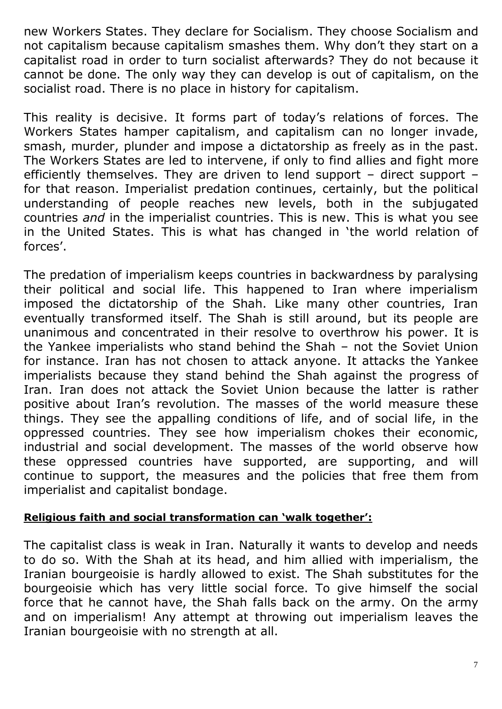new Workers States. They declare for Socialism. They choose Socialism and not capitalism because capitalism smashes them. Why don't they start on a capitalist road in order to turn socialist afterwards? They do not because it cannot be done. The only way they can develop is out of capitalism, on the socialist road. There is no place in history for capitalism.

This reality is decisive. It forms part of today's relations of forces. The Workers States hamper capitalism, and capitalism can no longer invade, smash, murder, plunder and impose a dictatorship as freely as in the past. The Workers States are led to intervene, if only to find allies and fight more efficiently themselves. They are driven to lend support – direct support – for that reason. Imperialist predation continues, certainly, but the political understanding of people reaches new levels, both in the subjugated countries *and* in the imperialist countries. This is new. This is what you see in the United States. This is what has changed in 'the world relation of forces'.

The predation of imperialism keeps countries in backwardness by paralysing their political and social life. This happened to Iran where imperialism imposed the dictatorship of the Shah. Like many other countries, Iran eventually transformed itself. The Shah is still around, but its people are unanimous and concentrated in their resolve to overthrow his power. It is the Yankee imperialists who stand behind the Shah – not the Soviet Union for instance. Iran has not chosen to attack anyone. It attacks the Yankee imperialists because they stand behind the Shah against the progress of Iran. Iran does not attack the Soviet Union because the latter is rather positive about Iran's revolution. The masses of the world measure these things. They see the appalling conditions of life, and of social life, in the oppressed countries. They see how imperialism chokes their economic, industrial and social development. The masses of the world observe how these oppressed countries have supported, are supporting, and will continue to support, the measures and the policies that free them from imperialist and capitalist bondage.

### **Religious faith and social transformation can 'walk together':**

The capitalist class is weak in Iran. Naturally it wants to develop and needs to do so. With the Shah at its head, and him allied with imperialism, the Iranian bourgeoisie is hardly allowed to exist. The Shah substitutes for the bourgeoisie which has very little social force. To give himself the social force that he cannot have, the Shah falls back on the army. On the army and on imperialism! Any attempt at throwing out imperialism leaves the Iranian bourgeoisie with no strength at all.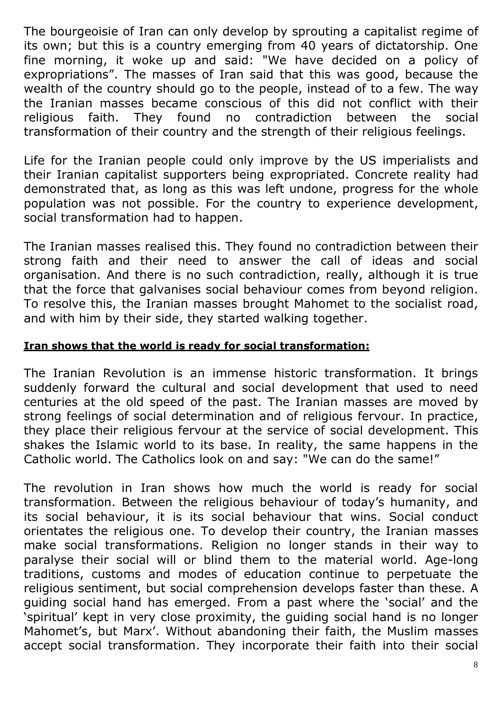The bourgeoisie of Iran can only develop by sprouting a capitalist regime of its own; but this is a country emerging from 40 years of dictatorship. One fine morning, it woke up and said: "We have decided on a policy of expropriations". The masses of Iran said that this was good, because the wealth of the country should go to the people, instead of to a few. The way the Iranian masses became conscious of this did not conflict with their religious faith. They found no contradiction between the social transformation of their country and the strength of their religious feelings.

Life for the Iranian people could only improve by the US imperialists and their Iranian capitalist supporters being expropriated. Concrete reality had demonstrated that, as long as this was left undone, progress for the whole population was not possible. For the country to experience development, social transformation had to happen.

The Iranian masses realised this. They found no contradiction between their strong faith and their need to answer the call of ideas and social organisation. And there is no such contradiction, really, although it is true that the force that galvanises social behaviour comes from beyond religion. To resolve this, the Iranian masses brought Mahomet to the socialist road, and with him by their side, they started walking together.

#### **Iran shows that the world is ready for social transformation:**

The Iranian Revolution is an immense historic transformation. It brings suddenly forward the cultural and social development that used to need centuries at the old speed of the past. The Iranian masses are moved by strong feelings of social determination and of religious fervour. In practice, they place their religious fervour at the service of social development. This shakes the Islamic world to its base. In reality, the same happens in the Catholic world. The Catholics look on and say: "We can do the same!"

The revolution in Iran shows how much the world is ready for social transformation. Between the religious behaviour of today's humanity, and its social behaviour, it is its social behaviour that wins. Social conduct orientates the religious one. To develop their country, the Iranian masses make social transformations. Religion no longer stands in their way to paralyse their social will or blind them to the material world. Age-long traditions, customs and modes of education continue to perpetuate the religious sentiment, but social comprehension develops faster than these. A guiding social hand has emerged. From a past where the 'social' and the 'spiritual' kept in very close proximity, the guiding social hand is no longer Mahomet's, but Marx'. Without abandoning their faith, the Muslim masses accept social transformation. They incorporate their faith into their social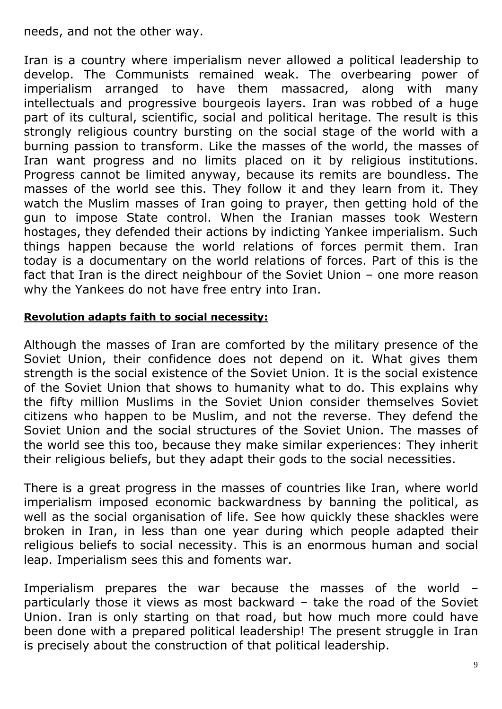needs, and not the other way.

Iran is a country where imperialism never allowed a political leadership to develop. The Communists remained weak. The overbearing power of imperialism arranged to have them massacred, along with many intellectuals and progressive bourgeois layers. Iran was robbed of a huge part of its cultural, scientific, social and political heritage. The result is this strongly religious country bursting on the social stage of the world with a burning passion to transform. Like the masses of the world, the masses of Iran want progress and no limits placed on it by religious institutions. Progress cannot be limited anyway, because its remits are boundless. The masses of the world see this. They follow it and they learn from it. They watch the Muslim masses of Iran going to prayer, then getting hold of the gun to impose State control. When the Iranian masses took Western hostages, they defended their actions by indicting Yankee imperialism. Such things happen because the world relations of forces permit them. Iran today is a documentary on the world relations of forces. Part of this is the fact that Iran is the direct neighbour of the Soviet Union – one more reason why the Yankees do not have free entry into Iran.

#### **Revolution adapts faith to social necessity:**

Although the masses of Iran are comforted by the military presence of the Soviet Union, their confidence does not depend on it. What gives them strength is the social existence of the Soviet Union. It is the social existence of the Soviet Union that shows to humanity what to do. This explains why the fifty million Muslims in the Soviet Union consider themselves Soviet citizens who happen to be Muslim, and not the reverse. They defend the Soviet Union and the social structures of the Soviet Union. The masses of the world see this too, because they make similar experiences: They inherit their religious beliefs, but they adapt their gods to the social necessities.

There is a great progress in the masses of countries like Iran, where world imperialism imposed economic backwardness by banning the political, as well as the social organisation of life. See how quickly these shackles were broken in Iran, in less than one year during which people adapted their religious beliefs to social necessity. This is an enormous human and social leap. Imperialism sees this and foments war.

Imperialism prepares the war because the masses of the world particularly those it views as most backward – take the road of the Soviet Union. Iran is only starting on that road, but how much more could have been done with a prepared political leadership! The present struggle in Iran is precisely about the construction of that political leadership.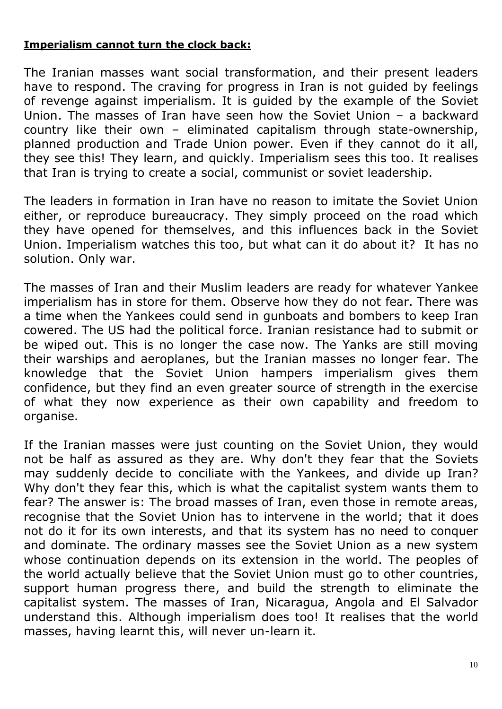#### **Imperialism cannot turn the clock back:**

The Iranian masses want social transformation, and their present leaders have to respond. The craving for progress in Iran is not guided by feelings of revenge against imperialism. It is guided by the example of the Soviet Union. The masses of Iran have seen how the Soviet Union – a backward country like their own – eliminated capitalism through state-ownership, planned production and Trade Union power. Even if they cannot do it all, they see this! They learn, and quickly. Imperialism sees this too. It realises that Iran is trying to create a social, communist or soviet leadership.

The leaders in formation in Iran have no reason to imitate the Soviet Union either, or reproduce bureaucracy. They simply proceed on the road which they have opened for themselves, and this influences back in the Soviet Union. Imperialism watches this too, but what can it do about it? It has no solution. Only war.

The masses of Iran and their Muslim leaders are ready for whatever Yankee imperialism has in store for them. Observe how they do not fear. There was a time when the Yankees could send in gunboats and bombers to keep Iran cowered. The US had the political force. Iranian resistance had to submit or be wiped out. This is no longer the case now. The Yanks are still moving their warships and aeroplanes, but the Iranian masses no longer fear. The knowledge that the Soviet Union hampers imperialism gives them confidence, but they find an even greater source of strength in the exercise of what they now experience as their own capability and freedom to organise.

If the Iranian masses were just counting on the Soviet Union, they would not be half as assured as they are. Why don't they fear that the Soviets may suddenly decide to conciliate with the Yankees, and divide up Iran? Why don't they fear this, which is what the capitalist system wants them to fear? The answer is: The broad masses of Iran, even those in remote areas, recognise that the Soviet Union has to intervene in the world; that it does not do it for its own interests, and that its system has no need to conquer and dominate. The ordinary masses see the Soviet Union as a new system whose continuation depends on its extension in the world. The peoples of the world actually believe that the Soviet Union must go to other countries, support human progress there, and build the strength to eliminate the capitalist system. The masses of Iran, Nicaragua, Angola and El Salvador understand this. Although imperialism does too! It realises that the world masses, having learnt this, will never un-learn it.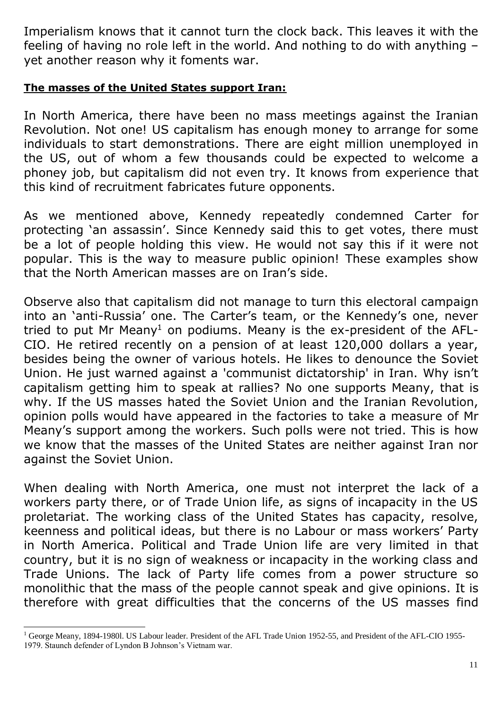Imperialism knows that it cannot turn the clock back. This leaves it with the feeling of having no role left in the world. And nothing to do with anything – yet another reason why it foments war.

#### **The masses of the United States support Iran:**

In North America, there have been no mass meetings against the Iranian Revolution. Not one! US capitalism has enough money to arrange for some individuals to start demonstrations. There are eight million unemployed in the US, out of whom a few thousands could be expected to welcome a phoney job, but capitalism did not even try. It knows from experience that this kind of recruitment fabricates future opponents.

As we mentioned above, Kennedy repeatedly condemned Carter for protecting 'an assassin'. Since Kennedy said this to get votes, there must be a lot of people holding this view. He would not say this if it were not popular. This is the way to measure public opinion! These examples show that the North American masses are on Iran's side.

Observe also that capitalism did not manage to turn this electoral campaign into an 'anti-Russia' one. The Carter's team, or the Kennedy's one, never tried to put Mr Meany<sup>1</sup> on podiums. Meany is the ex-president of the AFL-CIO. He retired recently on a pension of at least 120,000 dollars a year, besides being the owner of various hotels. He likes to denounce the Soviet Union. He just warned against a 'communist dictatorship' in Iran. Why isn't capitalism getting him to speak at rallies? No one supports Meany, that is why. If the US masses hated the Soviet Union and the Iranian Revolution, opinion polls would have appeared in the factories to take a measure of Mr Meany's support among the workers. Such polls were not tried. This is how we know that the masses of the United States are neither against Iran nor against the Soviet Union.

When dealing with North America, one must not interpret the lack of a workers party there, or of Trade Union life, as signs of incapacity in the US proletariat. The working class of the United States has capacity, resolve, keenness and political ideas, but there is no Labour or mass workers' Party in North America. Political and Trade Union life are very limited in that country, but it is no sign of weakness or incapacity in the working class and Trade Unions. The lack of Party life comes from a power structure so monolithic that the mass of the people cannot speak and give opinions. It is therefore with great difficulties that the concerns of the US masses find

l

<sup>&</sup>lt;sup>1</sup> George Meany, 1894-1980l. US Labour leader. President of the AFL Trade Union 1952-55, and President of the AFL-CIO 1955-1979. Staunch defender of Lyndon B Johnson's Vietnam war.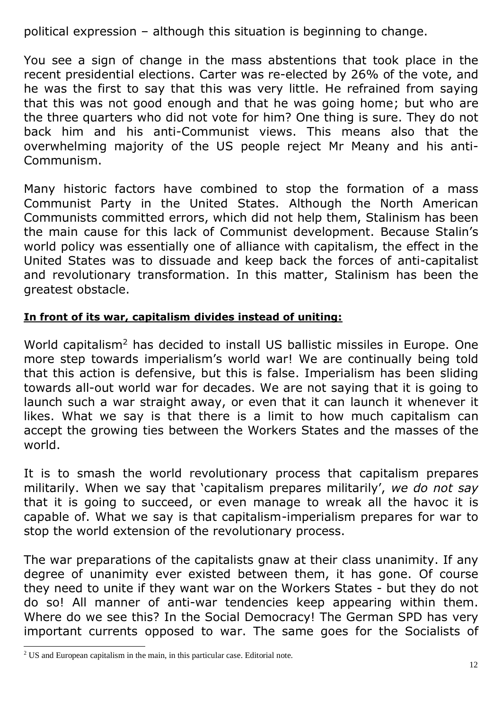political expression – although this situation is beginning to change.

You see a sign of change in the mass abstentions that took place in the recent presidential elections. Carter was re-elected by 26% of the vote, and he was the first to say that this was very little. He refrained from saying that this was not good enough and that he was going home; but who are the three quarters who did not vote for him? One thing is sure. They do not back him and his anti-Communist views. This means also that the overwhelming majority of the US people reject Mr Meany and his anti-Communism.

Many historic factors have combined to stop the formation of a mass Communist Party in the United States. Although the North American Communists committed errors, which did not help them, Stalinism has been the main cause for this lack of Communist development. Because Stalin's world policy was essentially one of alliance with capitalism, the effect in the United States was to dissuade and keep back the forces of anti-capitalist and revolutionary transformation. In this matter, Stalinism has been the greatest obstacle.

## **In front of its war, capitalism divides instead of uniting:**

World capitalism<sup>2</sup> has decided to install US ballistic missiles in Europe. One more step towards imperialism's world war! We are continually being told that this action is defensive, but this is false. Imperialism has been sliding towards all-out world war for decades. We are not saying that it is going to launch such a war straight away, or even that it can launch it whenever it likes. What we say is that there is a limit to how much capitalism can accept the growing ties between the Workers States and the masses of the world.

It is to smash the world revolutionary process that capitalism prepares militarily. When we say that 'capitalism prepares militarily', *we do not say* that it is going to succeed, or even manage to wreak all the havoc it is capable of. What we say is that capitalism-imperialism prepares for war to stop the world extension of the revolutionary process.

The war preparations of the capitalists gnaw at their class unanimity. If any degree of unanimity ever existed between them, it has gone. Of course they need to unite if they want war on the Workers States - but they do not do so! All manner of anti-war tendencies keep appearing within them. Where do we see this? In the Social Democracy! The German SPD has very important currents opposed to war. The same goes for the Socialists of

 $\overline{a}$ 

<sup>&</sup>lt;sup>2</sup> US and European capitalism in the main, in this particular case. Editorial note.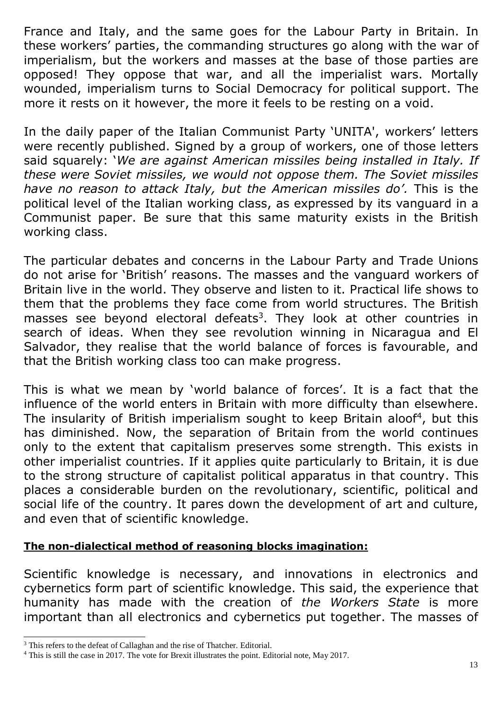France and Italy, and the same goes for the Labour Party in Britain. In these workers' parties, the commanding structures go along with the war of imperialism, but the workers and masses at the base of those parties are opposed! They oppose that war, and all the imperialist wars. Mortally wounded, imperialism turns to Social Democracy for political support. The more it rests on it however, the more it feels to be resting on a void.

In the daily paper of the Italian Communist Party 'UNITA', workers' letters were recently published. Signed by a group of workers, one of those letters said squarely: '*We are against American missiles being installed in Italy. If these were Soviet missiles, we would not oppose them. The Soviet missiles have no reason to attack Italy, but the American missiles do'.* This is the political level of the Italian working class, as expressed by its vanguard in a Communist paper. Be sure that this same maturity exists in the British working class.

The particular debates and concerns in the Labour Party and Trade Unions do not arise for 'British' reasons. The masses and the vanguard workers of Britain live in the world. They observe and listen to it. Practical life shows to them that the problems they face come from world structures. The British masses see beyond electoral defeats<sup>3</sup>. They look at other countries in search of ideas. When they see revolution winning in Nicaragua and El Salvador, they realise that the world balance of forces is favourable, and that the British working class too can make progress.

This is what we mean by 'world balance of forces'. It is a fact that the influence of the world enters in Britain with more difficulty than elsewhere. The insularity of British imperialism sought to keep Britain aloof<sup>4</sup>, but this has diminished. Now, the separation of Britain from the world continues only to the extent that capitalism preserves some strength. This exists in other imperialist countries. If it applies quite particularly to Britain, it is due to the strong structure of capitalist political apparatus in that country. This places a considerable burden on the revolutionary, scientific, political and social life of the country. It pares down the development of art and culture, and even that of scientific knowledge.

### **The non-dialectical method of reasoning blocks imagination:**

Scientific knowledge is necessary, and innovations in electronics and cybernetics form part of scientific knowledge. This said, the experience that humanity has made with the creation of *the Workers State* is more important than all electronics and cybernetics put together. The masses of

 $\overline{a}$ 

<sup>&</sup>lt;sup>3</sup> This refers to the defeat of Callaghan and the rise of Thatcher. Editorial.

<sup>4</sup> This is still the case in 2017. The vote for Brexit illustrates the point. Editorial note, May 2017.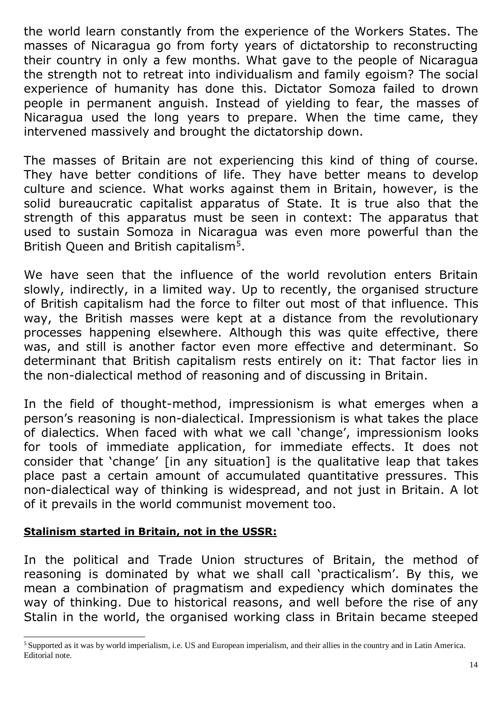the world learn constantly from the experience of the Workers States. The masses of Nicaragua go from forty years of dictatorship to reconstructing their country in only a few months. What gave to the people of Nicaragua the strength not to retreat into individualism and family egoism? The social experience of humanity has done this. Dictator Somoza failed to drown people in permanent anguish. Instead of yielding to fear, the masses of Nicaragua used the long years to prepare. When the time came, they intervened massively and brought the dictatorship down.

The masses of Britain are not experiencing this kind of thing of course. They have better conditions of life. They have better means to develop culture and science. What works against them in Britain, however, is the solid bureaucratic capitalist apparatus of State. It is true also that the strength of this apparatus must be seen in context: The apparatus that used to sustain Somoza in Nicaragua was even more powerful than the British Queen and British capitalism<sup>5</sup>.

We have seen that the influence of the world revolution enters Britain slowly, indirectly, in a limited way. Up to recently, the organised structure of British capitalism had the force to filter out most of that influence. This way, the British masses were kept at a distance from the revolutionary processes happening elsewhere. Although this was quite effective, there was, and still is another factor even more effective and determinant. So determinant that British capitalism rests entirely on it: That factor lies in the non-dialectical method of reasoning and of discussing in Britain.

In the field of thought-method, impressionism is what emerges when a person's reasoning is non-dialectical. Impressionism is what takes the place of dialectics. When faced with what we call 'change', impressionism looks for tools of immediate application, for immediate effects. It does not consider that 'change' [in any situation] is the qualitative leap that takes place past a certain amount of accumulated quantitative pressures. This non-dialectical way of thinking is widespread, and not just in Britain. A lot of it prevails in the world communist movement too.

### **Stalinism started in Britain, not in the USSR:**

 $\overline{a}$ 

In the political and Trade Union structures of Britain, the method of reasoning is dominated by what we shall call 'practicalism'. By this, we mean a combination of pragmatism and expediency which dominates the way of thinking. Due to historical reasons, and well before the rise of any Stalin in the world, the organised working class in Britain became steeped

<sup>&</sup>lt;sup>5</sup> Supported as it was by world imperialism, i.e. US and European imperialism, and their allies in the country and in Latin America. Editorial note.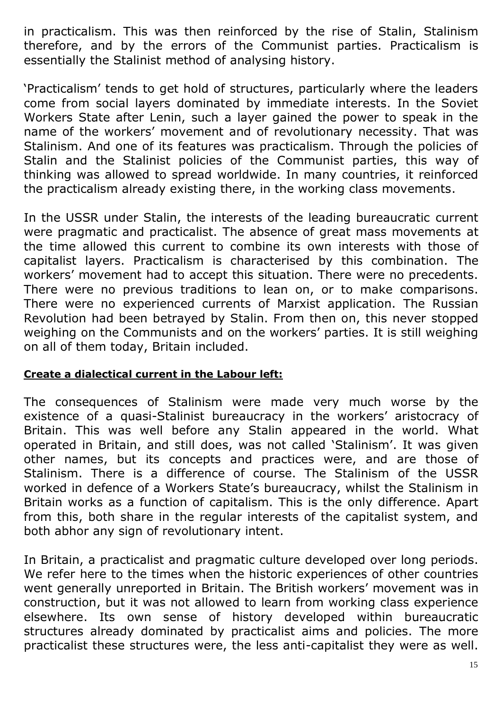in practicalism. This was then reinforced by the rise of Stalin, Stalinism therefore, and by the errors of the Communist parties. Practicalism is essentially the Stalinist method of analysing history.

'Practicalism' tends to get hold of structures, particularly where the leaders come from social layers dominated by immediate interests. In the Soviet Workers State after Lenin, such a layer gained the power to speak in the name of the workers' movement and of revolutionary necessity. That was Stalinism. And one of its features was practicalism. Through the policies of Stalin and the Stalinist policies of the Communist parties, this way of thinking was allowed to spread worldwide. In many countries, it reinforced the practicalism already existing there, in the working class movements.

In the USSR under Stalin, the interests of the leading bureaucratic current were pragmatic and practicalist. The absence of great mass movements at the time allowed this current to combine its own interests with those of capitalist layers. Practicalism is characterised by this combination. The workers' movement had to accept this situation. There were no precedents. There were no previous traditions to lean on, or to make comparisons. There were no experienced currents of Marxist application. The Russian Revolution had been betrayed by Stalin. From then on, this never stopped weighing on the Communists and on the workers' parties. It is still weighing on all of them today, Britain included.

#### **Create a dialectical current in the Labour left:**

The consequences of Stalinism were made very much worse by the existence of a quasi-Stalinist bureaucracy in the workers' aristocracy of Britain. This was well before any Stalin appeared in the world. What operated in Britain, and still does, was not called 'Stalinism'. It was given other names, but its concepts and practices were, and are those of Stalinism. There is a difference of course. The Stalinism of the USSR worked in defence of a Workers State's bureaucracy, whilst the Stalinism in Britain works as a function of capitalism. This is the only difference. Apart from this, both share in the regular interests of the capitalist system, and both abhor any sign of revolutionary intent.

In Britain, a practicalist and pragmatic culture developed over long periods. We refer here to the times when the historic experiences of other countries went generally unreported in Britain. The British workers' movement was in construction, but it was not allowed to learn from working class experience elsewhere. Its own sense of history developed within bureaucratic structures already dominated by practicalist aims and policies. The more practicalist these structures were, the less anti-capitalist they were as well.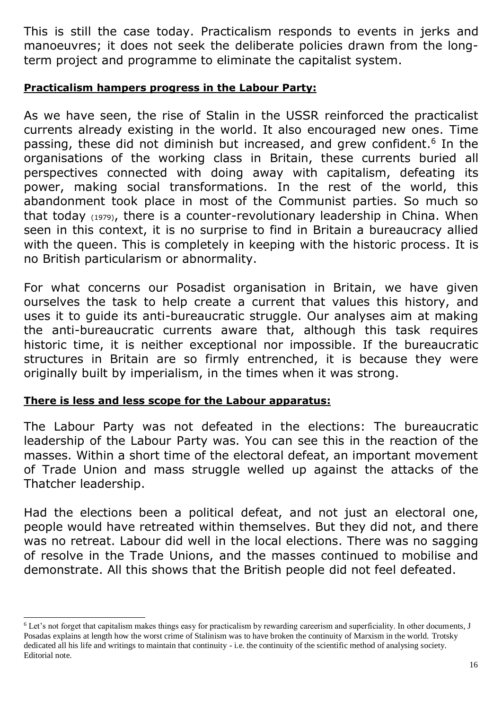This is still the case today. Practicalism responds to events in jerks and manoeuvres; it does not seek the deliberate policies drawn from the longterm project and programme to eliminate the capitalist system.

#### **Practicalism hampers progress in the Labour Party:**

As we have seen, the rise of Stalin in the USSR reinforced the practicalist currents already existing in the world. It also encouraged new ones. Time passing, these did not diminish but increased, and grew confident.<sup>6</sup> In the organisations of the working class in Britain, these currents buried all perspectives connected with doing away with capitalism, defeating its power, making social transformations. In the rest of the world, this abandonment took place in most of the Communist parties. So much so that today (1979), there is a counter-revolutionary leadership in China. When seen in this context, it is no surprise to find in Britain a bureaucracy allied with the queen. This is completely in keeping with the historic process. It is no British particularism or abnormality.

For what concerns our Posadist organisation in Britain, we have given ourselves the task to help create a current that values this history, and uses it to guide its anti-bureaucratic struggle. Our analyses aim at making the anti-bureaucratic currents aware that, although this task requires historic time, it is neither exceptional nor impossible. If the bureaucratic structures in Britain are so firmly entrenched, it is because they were originally built by imperialism, in the times when it was strong.

#### **There is less and less scope for the Labour apparatus:**

 $\overline{a}$ 

The Labour Party was not defeated in the elections: The bureaucratic leadership of the Labour Party was. You can see this in the reaction of the masses. Within a short time of the electoral defeat, an important movement of Trade Union and mass struggle welled up against the attacks of the Thatcher leadership.

Had the elections been a political defeat, and not just an electoral one, people would have retreated within themselves. But they did not, and there was no retreat. Labour did well in the local elections. There was no sagging of resolve in the Trade Unions, and the masses continued to mobilise and demonstrate. All this shows that the British people did not feel defeated.

<sup>6</sup> Let's not forget that capitalism makes things easy for practicalism by rewarding careerism and superficiality. In other documents, J Posadas explains at length how the worst crime of Stalinism was to have broken the continuity of Marxism in the world. Trotsky dedicated all his life and writings to maintain that continuity - i.e. the continuity of the scientific method of analysing society. Editorial note.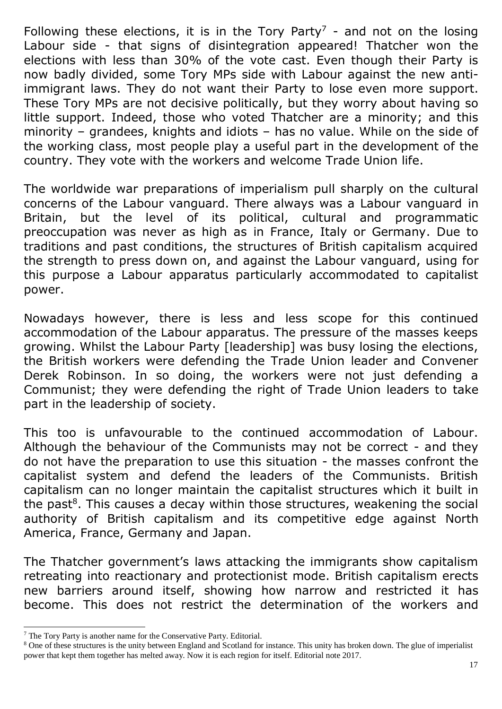Following these elections, it is in the Tory Party<sup>7</sup> - and not on the losing Labour side - that signs of disintegration appeared! Thatcher won the elections with less than 30% of the vote cast. Even though their Party is now badly divided, some Tory MPs side with Labour against the new antiimmigrant laws. They do not want their Party to lose even more support. These Tory MPs are not decisive politically, but they worry about having so little support. Indeed, those who voted Thatcher are a minority; and this minority – grandees, knights and idiots – has no value. While on the side of the working class, most people play a useful part in the development of the country. They vote with the workers and welcome Trade Union life.

The worldwide war preparations of imperialism pull sharply on the cultural concerns of the Labour vanguard. There always was a Labour vanguard in Britain, but the level of its political, cultural and programmatic preoccupation was never as high as in France, Italy or Germany. Due to traditions and past conditions, the structures of British capitalism acquired the strength to press down on, and against the Labour vanguard, using for this purpose a Labour apparatus particularly accommodated to capitalist power.

Nowadays however, there is less and less scope for this continued accommodation of the Labour apparatus. The pressure of the masses keeps growing. Whilst the Labour Party [leadership] was busy losing the elections, the British workers were defending the Trade Union leader and Convener Derek Robinson. In so doing, the workers were not just defending a Communist; they were defending the right of Trade Union leaders to take part in the leadership of society.

This too is unfavourable to the continued accommodation of Labour. Although the behaviour of the Communists may not be correct - and they do not have the preparation to use this situation - the masses confront the capitalist system and defend the leaders of the Communists. British capitalism can no longer maintain the capitalist structures which it built in the past<sup>8</sup>. This causes a decay within those structures, weakening the social authority of British capitalism and its competitive edge against North America, France, Germany and Japan.

The Thatcher government's laws attacking the immigrants show capitalism retreating into reactionary and protectionist mode. British capitalism erects new barriers around itself, showing how narrow and restricted it has become. This does not restrict the determination of the workers and

l

<sup>7</sup> The Tory Party is another name for the Conservative Party. Editorial.

<sup>&</sup>lt;sup>8</sup> One of these structures is the unity between England and Scotland for instance. This unity has broken down. The glue of imperialist power that kept them together has melted away. Now it is each region for itself. Editorial note 2017.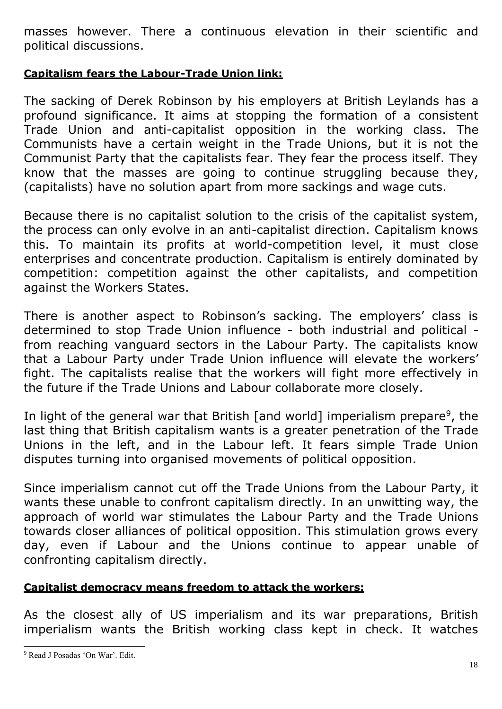masses however. There a continuous elevation in their scientific and political discussions.

## **Capitalism fears the Labour-Trade Union link:**

The sacking of Derek Robinson by his employers at British Leylands has a profound significance. It aims at stopping the formation of a consistent Trade Union and anti-capitalist opposition in the working class. The Communists have a certain weight in the Trade Unions, but it is not the Communist Party that the capitalists fear. They fear the process itself. They know that the masses are going to continue struggling because they, (capitalists) have no solution apart from more sackings and wage cuts.

Because there is no capitalist solution to the crisis of the capitalist system, the process can only evolve in an anti-capitalist direction. Capitalism knows this. To maintain its profits at world-competition level, it must close enterprises and concentrate production. Capitalism is entirely dominated by competition: competition against the other capitalists, and competition against the Workers States.

There is another aspect to Robinson's sacking. The employers' class is determined to stop Trade Union influence - both industrial and political from reaching vanguard sectors in the Labour Party. The capitalists know that a Labour Party under Trade Union influence will elevate the workers' fight. The capitalists realise that the workers will fight more effectively in the future if the Trade Unions and Labour collaborate more closely.

In light of the general war that British [and world] imperialism prepare<sup>9</sup>, the last thing that British capitalism wants is a greater penetration of the Trade Unions in the left, and in the Labour left. It fears simple Trade Union disputes turning into organised movements of political opposition.

Since imperialism cannot cut off the Trade Unions from the Labour Party, it wants these unable to confront capitalism directly. In an unwitting way, the approach of world war stimulates the Labour Party and the Trade Unions towards closer alliances of political opposition. This stimulation grows every day, even if Labour and the Unions continue to appear unable of confronting capitalism directly.

# **Capitalist democracy means freedom to attack the workers:**

As the closest ally of US imperialism and its war preparations, British imperialism wants the British working class kept in check. It watches

 $\overline{a}$ 

<sup>9</sup> Read J Posadas 'On War'. Edit.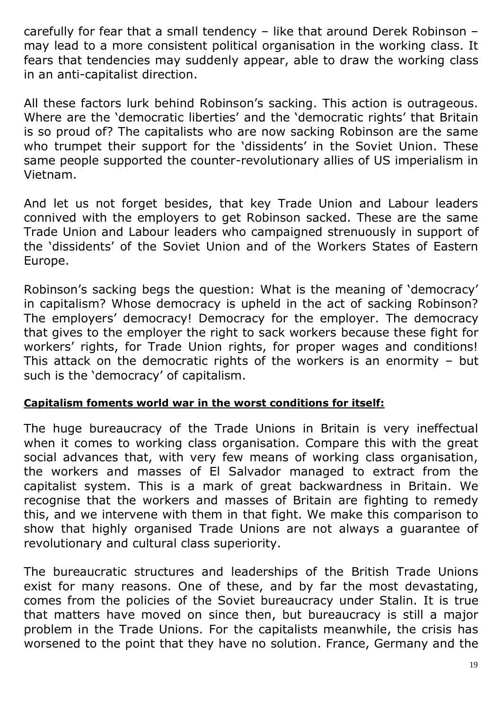carefully for fear that a small tendency – like that around Derek Robinson – may lead to a more consistent political organisation in the working class. It fears that tendencies may suddenly appear, able to draw the working class in an anti-capitalist direction.

All these factors lurk behind Robinson's sacking. This action is outrageous. Where are the 'democratic liberties' and the 'democratic rights' that Britain is so proud of? The capitalists who are now sacking Robinson are the same who trumpet their support for the 'dissidents' in the Soviet Union. These same people supported the counter-revolutionary allies of US imperialism in Vietnam.

And let us not forget besides, that key Trade Union and Labour leaders connived with the employers to get Robinson sacked. These are the same Trade Union and Labour leaders who campaigned strenuously in support of the 'dissidents' of the Soviet Union and of the Workers States of Eastern Europe.

Robinson's sacking begs the question: What is the meaning of 'democracy' in capitalism? Whose democracy is upheld in the act of sacking Robinson? The employers' democracy! Democracy for the employer. The democracy that gives to the employer the right to sack workers because these fight for workers' rights, for Trade Union rights, for proper wages and conditions! This attack on the democratic rights of the workers is an enormity – but such is the 'democracy' of capitalism.

#### **Capitalism foments world war in the worst conditions for itself:**

The huge bureaucracy of the Trade Unions in Britain is very ineffectual when it comes to working class organisation. Compare this with the great social advances that, with very few means of working class organisation, the workers and masses of El Salvador managed to extract from the capitalist system. This is a mark of great backwardness in Britain. We recognise that the workers and masses of Britain are fighting to remedy this, and we intervene with them in that fight. We make this comparison to show that highly organised Trade Unions are not always a guarantee of revolutionary and cultural class superiority.

The bureaucratic structures and leaderships of the British Trade Unions exist for many reasons. One of these, and by far the most devastating, comes from the policies of the Soviet bureaucracy under Stalin. It is true that matters have moved on since then, but bureaucracy is still a major problem in the Trade Unions. For the capitalists meanwhile, the crisis has worsened to the point that they have no solution. France, Germany and the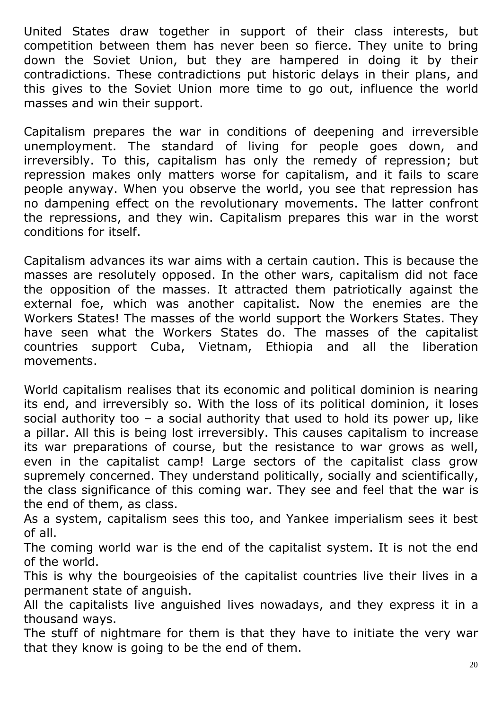United States draw together in support of their class interests, but competition between them has never been so fierce. They unite to bring down the Soviet Union, but they are hampered in doing it by their contradictions. These contradictions put historic delays in their plans, and this gives to the Soviet Union more time to go out, influence the world masses and win their support.

Capitalism prepares the war in conditions of deepening and irreversible unemployment. The standard of living for people goes down, and irreversibly. To this, capitalism has only the remedy of repression; but repression makes only matters worse for capitalism, and it fails to scare people anyway. When you observe the world, you see that repression has no dampening effect on the revolutionary movements. The latter confront the repressions, and they win. Capitalism prepares this war in the worst conditions for itself.

Capitalism advances its war aims with a certain caution. This is because the masses are resolutely opposed. In the other wars, capitalism did not face the opposition of the masses. It attracted them patriotically against the external foe, which was another capitalist. Now the enemies are the Workers States! The masses of the world support the Workers States. They have seen what the Workers States do. The masses of the capitalist countries support Cuba, Vietnam, Ethiopia and all the liberation movements.

World capitalism realises that its economic and political dominion is nearing its end, and irreversibly so. With the loss of its political dominion, it loses social authority too  $-$  a social authority that used to hold its power up, like a pillar. All this is being lost irreversibly. This causes capitalism to increase its war preparations of course, but the resistance to war grows as well, even in the capitalist camp! Large sectors of the capitalist class grow supremely concerned. They understand politically, socially and scientifically, the class significance of this coming war. They see and feel that the war is the end of them, as class.

As a system, capitalism sees this too, and Yankee imperialism sees it best of all.

The coming world war is the end of the capitalist system. It is not the end of the world.

This is why the bourgeoisies of the capitalist countries live their lives in a permanent state of anguish.

All the capitalists live anguished lives nowadays, and they express it in a thousand ways.

The stuff of nightmare for them is that they have to initiate the very war that they know is going to be the end of them.